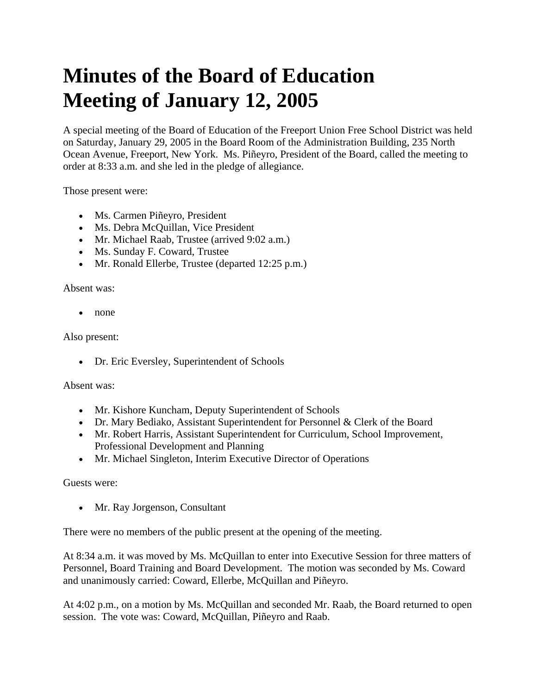## **Minutes of the Board of Education Meeting of January 12, 2005**

A special meeting of the Board of Education of the Freeport Union Free School District was held on Saturday, January 29, 2005 in the Board Room of the Administration Building, 235 North Ocean Avenue, Freeport, New York. Ms. Piñeyro, President of the Board, called the meeting to order at 8:33 a.m. and she led in the pledge of allegiance.

Those present were:

- Ms. Carmen Piñeyro, President
- Ms. Debra McQuillan, Vice President
- Mr. Michael Raab, Trustee (arrived 9:02 a.m.)
- Ms. Sunday F. Coward, Trustee
- Mr. Ronald Ellerbe, Trustee (departed 12:25 p.m.)

Absent was:

• none

Also present:

• Dr. Eric Eversley, Superintendent of Schools

Absent was:

- Mr. Kishore Kuncham, Deputy Superintendent of Schools
- Dr. Mary Bediako, Assistant Superintendent for Personnel & Clerk of the Board
- Mr. Robert Harris, Assistant Superintendent for Curriculum, School Improvement, Professional Development and Planning
- Mr. Michael Singleton, Interim Executive Director of Operations

Guests were:

• Mr. Ray Jorgenson, Consultant

There were no members of the public present at the opening of the meeting.

At 8:34 a.m. it was moved by Ms. McQuillan to enter into Executive Session for three matters of Personnel, Board Training and Board Development. The motion was seconded by Ms. Coward and unanimously carried: Coward, Ellerbe, McQuillan and Piñeyro.

At 4:02 p.m., on a motion by Ms. McQuillan and seconded Mr. Raab, the Board returned to open session. The vote was: Coward, McQuillan, Piñeyro and Raab.